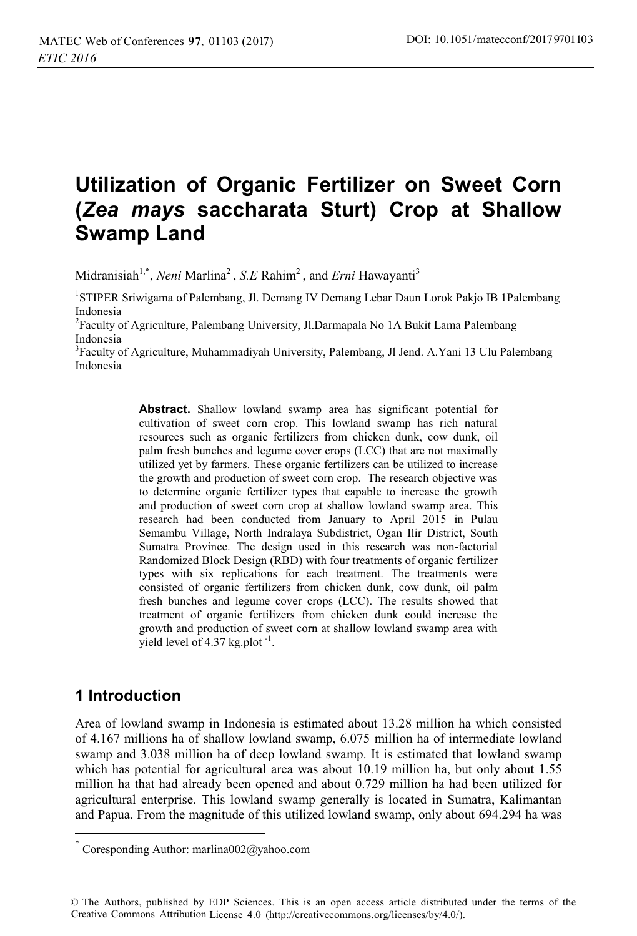# **Utilization of Organic Fertilizer on Sweet Corn (***Zea mays* **saccharata Sturt) Crop at Shallow Swamp Land**

Midranisiah<sup>1,\*</sup>, *Neni* Marlina<sup>2</sup>, *S.E* Rahim<sup>2</sup>, and *Erni* Hawayanti<sup>3</sup>

<sup>1</sup>STIPER Sriwigama of Palembang, Jl. Demang IV Demang Lebar Daun Lorok Pakjo IB 1Palembang Indonesia

<sup>2</sup>Faculty of Agriculture, Palembang University, Jl.Darmapala No 1A Bukit Lama Palembang Indonesia

<sup>3</sup>Faculty of Agriculture, Muhammadiyah University, Palembang, Jl Jend. A.Yani 13 Ulu Palembang Indonesia

> **Abstract.** Shallow lowland swamp area has significant potential for cultivation of sweet corn crop. This lowland swamp has rich natural resources such as organic fertilizers from chicken dunk, cow dunk, oil palm fresh bunches and legume cover crops (LCC) that are not maximally utilized yet by farmers. These organic fertilizers can be utilized to increase the growth and production of sweet corn crop. The research objective was to determine organic fertilizer types that capable to increase the growth and production of sweet corn crop at shallow lowland swamp area. This research had been conducted from January to April 2015 in Pulau Semambu Village, North Indralaya Subdistrict, Ogan Ilir District, South Sumatra Province. The design used in this research was non-factorial Randomized Block Design (RBD) with four treatments of organic fertilizer types with six replications for each treatment. The treatments were consisted of organic fertilizers from chicken dunk, cow dunk, oil palm fresh bunches and legume cover crops (LCC). The results showed that treatment of organic fertilizers from chicken dunk could increase the growth and production of sweet corn at shallow lowland swamp area with yield level of  $4.37$  kg.plot<sup>-1</sup>.

## **1 Introduction**

Area of lowland swamp in Indonesia is estimated about 13.28 million ha which consisted of 4.167 millions ha of shallow lowland swamp, 6.075 million ha of intermediate lowland swamp and 3.038 million ha of deep lowland swamp. It is estimated that lowland swamp which has potential for agricultural area was about 10.19 million ha, but only about 1.55 million ha that had already been opened and about 0.729 million ha had been utilized for agricultural enterprise. This lowland swamp generally is located in Sumatra, Kalimantan and Papua. From the magnitude of this utilized lowland swamp, only about 694.294 ha was l

Coresponding Author: marlina $002@$ vahoo.com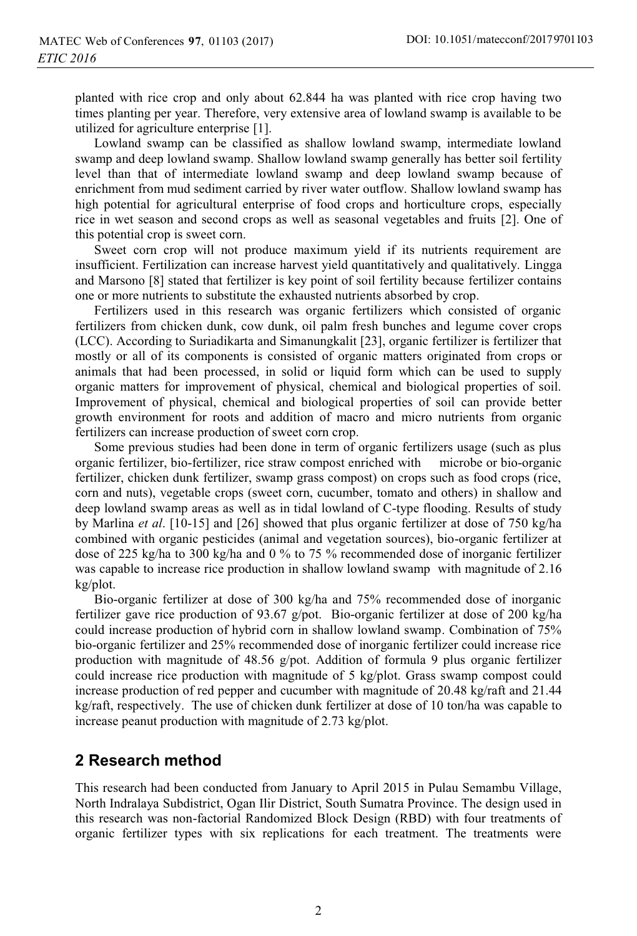planted with rice crop and only about 62.844 ha was planted with rice crop having two times planting per year. Therefore, very extensive area of lowland swamp is available to be utilized for agriculture enterprise [1].

Lowland swamp can be classified as shallow lowland swamp, intermediate lowland swamp and deep lowland swamp. Shallow lowland swamp generally has better soil fertility level than that of intermediate lowland swamp and deep lowland swamp because of enrichment from mud sediment carried by river water outflow. Shallow lowland swamp has high potential for agricultural enterprise of food crops and horticulture crops, especially rice in wet season and second crops as well as seasonal vegetables and fruits [2]. One of this potential crop is sweet corn.

Sweet corn crop will not produce maximum yield if its nutrients requirement are insufficient. Fertilization can increase harvest yield quantitatively and qualitatively. Lingga and Marsono [8] stated that fertilizer is key point of soil fertility because fertilizer contains one or more nutrients to substitute the exhausted nutrients absorbed by crop.

Fertilizers used in this research was organic fertilizers which consisted of organic fertilizers from chicken dunk, cow dunk, oil palm fresh bunches and legume cover crops (LCC). According to Suriadikarta and Simanungkalit [23], organic fertilizer is fertilizer that mostly or all of its components is consisted of organic matters originated from crops or animals that had been processed, in solid or liquid form which can be used to supply organic matters for improvement of physical, chemical and biological properties of soil. Improvement of physical, chemical and biological properties of soil can provide better growth environment for roots and addition of macro and micro nutrients from organic fertilizers can increase production of sweet corn crop.

Some previous studies had been done in term of organic fertilizers usage (such as plus organic fertilizer, bio-fertilizer, rice straw compost enriched with microbe or bio-organic fertilizer, chicken dunk fertilizer, swamp grass compost) on crops such as food crops (rice, corn and nuts), vegetable crops (sweet corn, cucumber, tomato and others) in shallow and deep lowland swamp areas as well as in tidal lowland of C-type flooding. Results of study by Marlina *et al*. [10-15] and [26] showed that plus organic fertilizer at dose of 750 kg/ha combined with organic pesticides (animal and vegetation sources), bio-organic fertilizer at dose of 225 kg/ha to 300 kg/ha and 0 % to 75 % recommended dose of inorganic fertilizer was capable to increase rice production in shallow lowland swamp with magnitude of 2.16 kg/plot.

Bio-organic fertilizer at dose of 300 kg/ha and 75% recommended dose of inorganic fertilizer gave rice production of 93.67 g/pot. Bio-organic fertilizer at dose of 200 kg/ha could increase production of hybrid corn in shallow lowland swamp. Combination of 75% bio-organic fertilizer and 25% recommended dose of inorganic fertilizer could increase rice production with magnitude of 48.56  $g$ /pot. Addition of formula 9 plus organic fertilizer could increase rice production with magnitude of 5 kg/plot. Grass swamp compost could increase production of red pepper and cucumber with magnitude of 20.48 kg/raft and 21.44 kg/raft, respectively. The use of chicken dunk fertilizer at dose of 10 ton/ha was capable to increase peanut production with magnitude of 2.73 kg/plot.

## **2 Research method**

This research had been conducted from January to April 2015 in Pulau Semambu Village, North Indralaya Subdistrict, Ogan Ilir District, South Sumatra Province. The design used in this research was non-factorial Randomized Block Design (RBD) with four treatments of organic fertilizer types with six replications for each treatment. The treatments were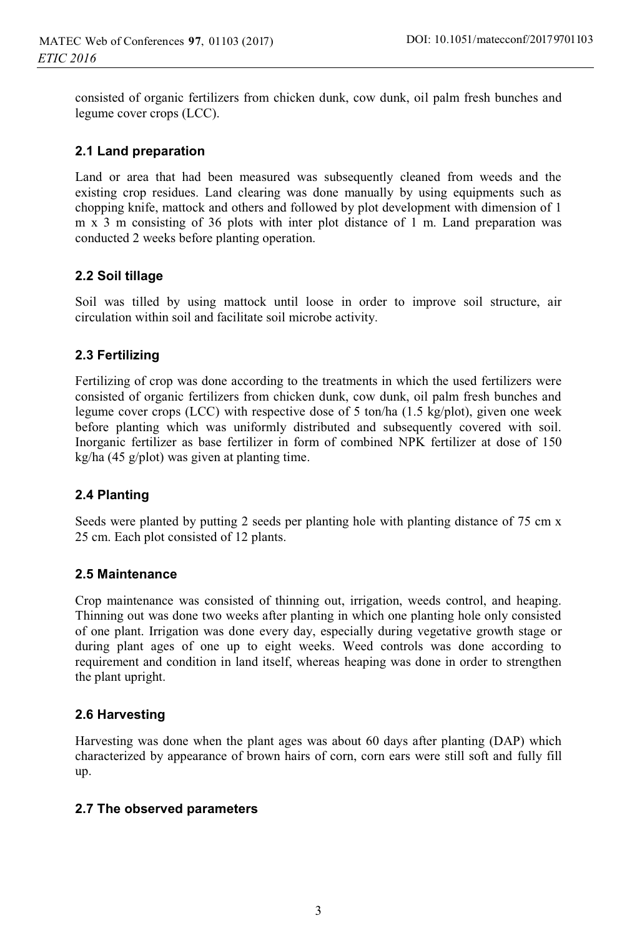consisted of organic fertilizers from chicken dunk, cow dunk, oil palm fresh bunches and legume cover crops (LCC).

#### **2.1 Land preparation**

Land or area that had been measured was subsequently cleaned from weeds and the existing crop residues. Land clearing was done manually by using equipments such as chopping knife, mattock and others and followed by plot development with dimension of 1 m x 3 m consisting of 36 plots with inter plot distance of 1 m. Land preparation was conducted 2 weeks before planting operation.

#### **2.2 Soil tillage**

Soil was tilled by using mattock until loose in order to improve soil structure, air circulation within soil and facilitate soil microbe activity.

#### **2.3 Fertilizing**

Fertilizing of crop was done according to the treatments in which the used fertilizers were consisted of organic fertilizers from chicken dunk, cow dunk, oil palm fresh bunches and legume cover crops (LCC) with respective dose of 5 ton/ha (1.5 kg/plot), given one week before planting which was uniformly distributed and subsequently covered with soil. Inorganic fertilizer as base fertilizer in form of combined NPK fertilizer at dose of 150 kg/ha (45 g/plot) was given at planting time.

#### **2.4 Planting**

Seeds were planted by putting 2 seeds per planting hole with planting distance of 75 cm x 25 cm. Each plot consisted of 12 plants.

#### **2.5 Maintenance**

Crop maintenance was consisted of thinning out, irrigation, weeds control, and heaping. Thinning out was done two weeks after planting in which one planting hole only consisted of one plant. Irrigation was done every day, especially during vegetative growth stage or during plant ages of one up to eight weeks. Weed controls was done according to requirement and condition in land itself, whereas heaping was done in order to strengthen the plant upright.

#### **2.6 Harvesting**

Harvesting was done when the plant ages was about 60 days after planting (DAP) which characterized by appearance of brown hairs of corn, corn ears were still soft and fully fill up.

#### **2.7 The observed parameters**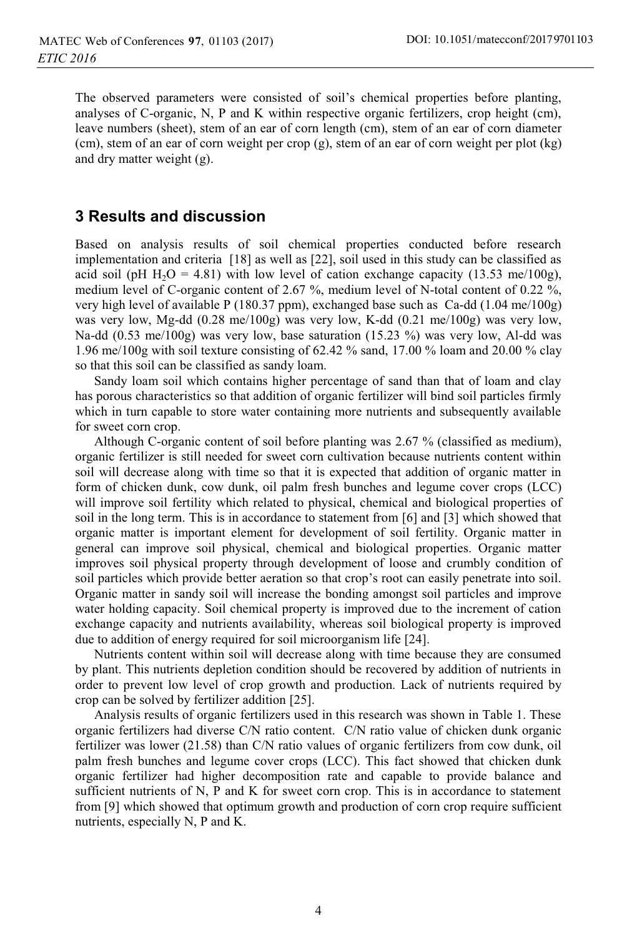The observed parameters were consisted of soil's chemical properties before planting, analyses of C-organic, N, P and K within respective organic fertilizers, crop height (cm), leave numbers (sheet), stem of an ear of corn length (cm), stem of an ear of corn diameter (cm), stem of an ear of corn weight per crop (g), stem of an ear of corn weight per plot (kg) and dry matter weight (g).

### **3 Results and discussion**

Based on analysis results of soil chemical properties conducted before research implementation and criteria [18] as well as [22], soil used in this study can be classified as acid soil (pH  $H_2O = 4.81$ ) with low level of cation exchange capacity (13.53 me/100g), medium level of C-organic content of 2.67 %, medium level of N-total content of 0.22 %, very high level of available P (180.37 ppm), exchanged base such as Ca-dd (1.04 me/100g) was very low, Mg-dd (0.28 me/100g) was very low, K-dd (0.21 me/100g) was very low, Na-dd (0.53 me/100g) was very low, base saturation (15.23 %) was very low, Al-dd was 1.96 me/100g with soil texture consisting of 62.42 % sand, 17.00 % loam and 20.00 % clay so that this soil can be classified as sandy loam.

Sandy loam soil which contains higher percentage of sand than that of loam and clay has porous characteristics so that addition of organic fertilizer will bind soil particles firmly which in turn capable to store water containing more nutrients and subsequently available for sweet corn crop.

Although C-organic content of soil before planting was 2.67 % (classified as medium), organic fertilizer is still needed for sweet corn cultivation because nutrients content within soil will decrease along with time so that it is expected that addition of organic matter in form of chicken dunk, cow dunk, oil palm fresh bunches and legume cover crops (LCC) will improve soil fertility which related to physical, chemical and biological properties of soil in the long term. This is in accordance to statement from [6] and [3] which showed that organic matter is important element for development of soil fertility. Organic matter in general can improve soil physical, chemical and biological properties. Organic matter improves soil physical property through development of loose and crumbly condition of soil particles which provide better aeration so that crop's root can easily penetrate into soil. Organic matter in sandy soil will increase the bonding amongst soil particles and improve water holding capacity. Soil chemical property is improved due to the increment of cation exchange capacity and nutrients availability, whereas soil biological property is improved due to addition of energy required for soil microorganism life [24].

Nutrients content within soil will decrease along with time because they are consumed by plant. This nutrients depletion condition should be recovered by addition of nutrients in order to prevent low level of crop growth and production. Lack of nutrients required by crop can be solved by fertilizer addition [25].

Analysis results of organic fertilizers used in this research was shown in Table 1. These organic fertilizers had diverse C/N ratio content. C/N ratio value of chicken dunk organic fertilizer was lower (21.58) than C/N ratio values of organic fertilizers from cow dunk, oil palm fresh bunches and legume cover crops (LCC). This fact showed that chicken dunk organic fertilizer had higher decomposition rate and capable to provide balance and sufficient nutrients of N, P and K for sweet corn crop. This is in accordance to statement from [9] which showed that optimum growth and production of corn crop require sufficient nutrients, especially N, P and K.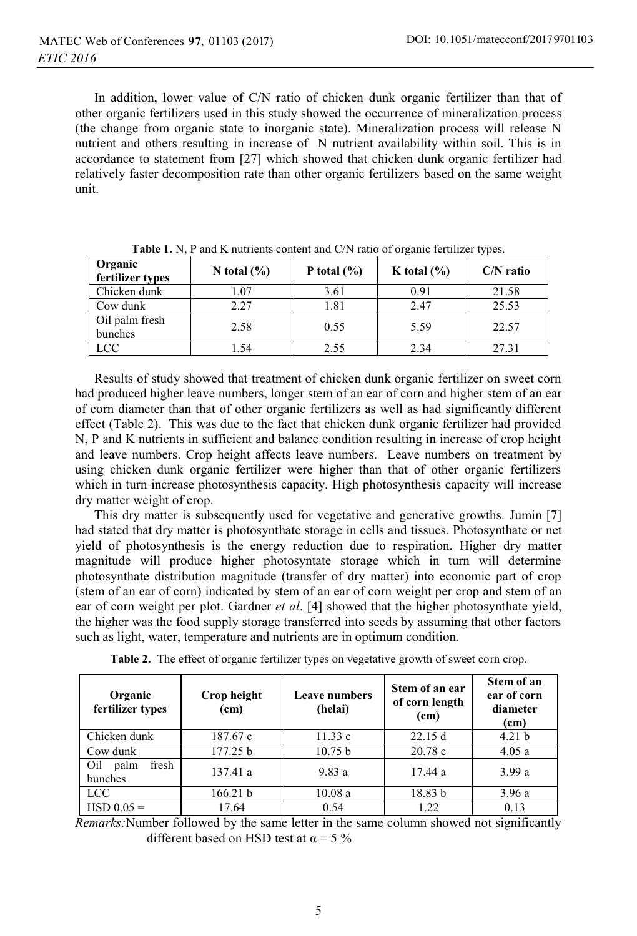In addition, lower value of C/N ratio of chicken dunk organic fertilizer than that of other organic fertilizers used in this study showed the occurrence of mineralization process (the change from organic state to inorganic state). Mineralization process will release N nutrient and others resulting in increase of N nutrient availability within soil. This is in accordance to statement from [27] which showed that chicken dunk organic fertilizer had relatively faster decomposition rate than other organic fertilizers based on the same weight unit.

| Organic<br>fertilizer types | N total $(\% )$ | P total $(\% )$ | K total $(\% )$ | $C/N$ ratio |
|-----------------------------|-----------------|-----------------|-----------------|-------------|
| Chicken dunk                | 1.07            | 3.61            | 0.91            | 21.58       |
| Cow dunk                    | 2.27            | 1.81            | 2.47            | 25.53       |
| Oil palm fresh<br>bunches   | 2.58            | 0.55            | 5.59            | 22.57       |
| LCC                         | 54. ا           | 2.55            | 2.34            | 27.31       |

**Table 1.** N, P and K nutrients content and C/N ratio of organic fertilizer types.

Results of study showed that treatment of chicken dunk organic fertilizer on sweet corn had produced higher leave numbers, longer stem of an ear of corn and higher stem of an ear of corn diameter than that of other organic fertilizers as well as had significantly different effect (Table 2). This was due to the fact that chicken dunk organic fertilizer had provided N, P and K nutrients in sufficient and balance condition resulting in increase of crop height and leave numbers. Crop height affects leave numbers. Leave numbers on treatment by using chicken dunk organic fertilizer were higher than that of other organic fertilizers which in turn increase photosynthesis capacity. High photosynthesis capacity will increase dry matter weight of crop.

This dry matter is subsequently used for vegetative and generative growths. Jumin [7] had stated that dry matter is photosynthate storage in cells and tissues. Photosynthate or net yield of photosynthesis is the energy reduction due to respiration. Higher dry matter magnitude will produce higher photosyntate storage which in turn will determine photosynthate distribution magnitude (transfer of dry matter) into economic part of crop (stem of an ear of corn) indicated by stem of an ear of corn weight per crop and stem of an ear of corn weight per plot. Gardner *et al*. [4] showed that the higher photosynthate yield, the higher was the food supply storage transferred into seeds by assuming that other factors such as light, water, temperature and nutrients are in optimum condition.

| Organic<br>fertilizer types     | Crop height<br>(cm) | <b>Leave numbers</b><br>(helai) | Stem of an ear<br>of corn length<br>(c <sub>m</sub> ) | Stem of an<br>ear of corn<br>diameter<br>(cm) |
|---------------------------------|---------------------|---------------------------------|-------------------------------------------------------|-----------------------------------------------|
| Chicken dunk                    | 187.67 c            | 11.33c                          | 22.15d                                                | 4.21 <sub>b</sub>                             |
| Cow dunk                        | 177.25 b            | 10.75 b                         | 20.78c                                                | 4.05a                                         |
| fresh<br>Oil<br>palm<br>bunches | 137.41 a            | 9.83a                           | 17.44 a                                               | 3.99a                                         |
| <b>LCC</b>                      | 166.21 b            | 10.08a                          | 18.83 b                                               | 3.96a                                         |
| $HSD 0.05 =$                    | 17.64               | 0.54                            | 1.22.                                                 | 0.13                                          |

**Table 2.** The effect of organic fertilizer types on vegetative growth of sweet corn crop.

*Remarks:*Number followed by the same letter in the same column showed not significantly different based on HSD test at  $\alpha = 5 \%$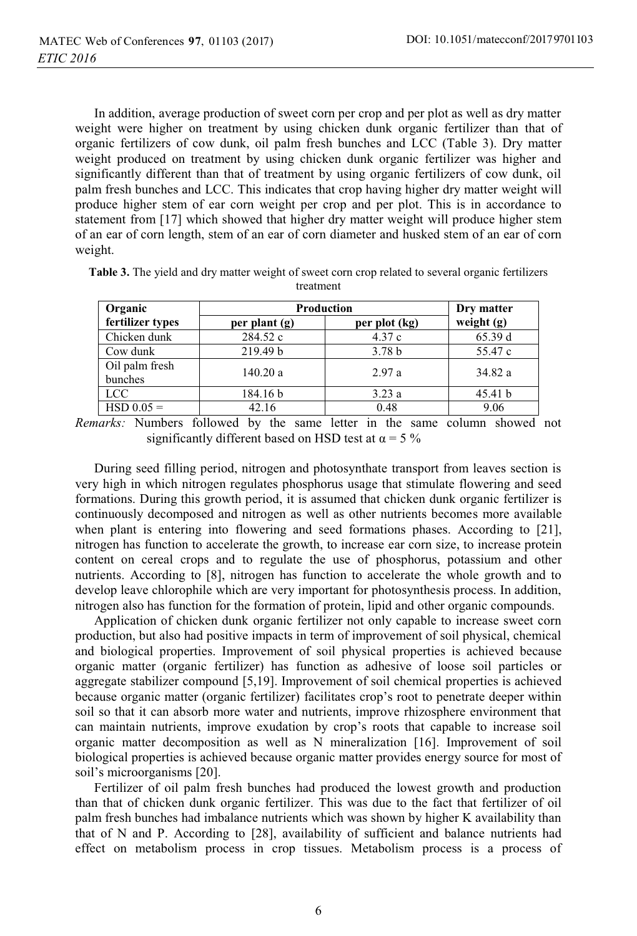In addition, average production of sweet corn per crop and per plot as well as dry matter weight were higher on treatment by using chicken dunk organic fertilizer than that of organic fertilizers of cow dunk, oil palm fresh bunches and LCC (Table 3). Dry matter weight produced on treatment by using chicken dunk organic fertilizer was higher and significantly different than that of treatment by using organic fertilizers of cow dunk, oil palm fresh bunches and LCC. This indicates that crop having higher dry matter weight will produce higher stem of ear corn weight per crop and per plot. This is in accordance to statement from [17] which showed that higher dry matter weight will produce higher stem of an ear of corn length, stem of an ear of corn diameter and husked stem of an ear of corn weight.

| Organic          | <b>Production</b> | Dry matter        |              |
|------------------|-------------------|-------------------|--------------|
| fertilizer types | per plant $(g)$   | per plot (kg)     | weight $(g)$ |
| Chicken dunk     | 284.52 c          | 4.37c             | 65.39 d      |
| Cow dunk         | 219.49 b          | 3.78 <sub>b</sub> | 55.47 c      |
| Oil palm fresh   | 140.20a           | 2.97a             | 34.82 a      |
| bunches          |                   |                   |              |
| <b>LCC</b>       | 184.16 b          | 3.23a             | 45.41 b      |
| $HSD 0.05 =$     | 42.16             | 0.48              | 9.06         |

**Table 3.** The yield and dry matter weight of sweet corn crop related to several organic fertilizers treatment

*Remarks:* Numbers followed by the same letter in the same column showed not significantly different based on HSD test at  $\alpha = 5\%$ 

During seed filling period, nitrogen and photosynthate transport from leaves section is very high in which nitrogen regulates phosphorus usage that stimulate flowering and seed formations. During this growth period, it is assumed that chicken dunk organic fertilizer is continuously decomposed and nitrogen as well as other nutrients becomes more available when plant is entering into flowering and seed formations phases. According to [21], nitrogen has function to accelerate the growth, to increase ear corn size, to increase protein content on cereal crops and to regulate the use of phosphorus, potassium and other nutrients. According to [8], nitrogen has function to accelerate the whole growth and to develop leave chlorophile which are very important for photosynthesis process. In addition, nitrogen also has function for the formation of protein, lipid and other organic compounds.

Application of chicken dunk organic fertilizer not only capable to increase sweet corn production, but also had positive impacts in term of improvement of soil physical, chemical and biological properties. Improvement of soil physical properties is achieved because organic matter (organic fertilizer) has function as adhesive of loose soil particles or aggregate stabilizer compound [5,19]. Improvement of soil chemical properties is achieved because organic matter (organic fertilizer) facilitates crop's root to penetrate deeper within soil so that it can absorb more water and nutrients, improve rhizosphere environment that can maintain nutrients, improve exudation by crop's roots that capable to increase soil organic matter decomposition as well as N mineralization [16]. Improvement of soil biological properties is achieved because organic matter provides energy source for most of soil's microorganisms [20].

Fertilizer of oil palm fresh bunches had produced the lowest growth and production than that of chicken dunk organic fertilizer. This was due to the fact that fertilizer of oil palm fresh bunches had imbalance nutrients which was shown by higher K availability than that of N and P. According to [28], availability of sufficient and balance nutrients had effect on metabolism process in crop tissues. Metabolism process is a process of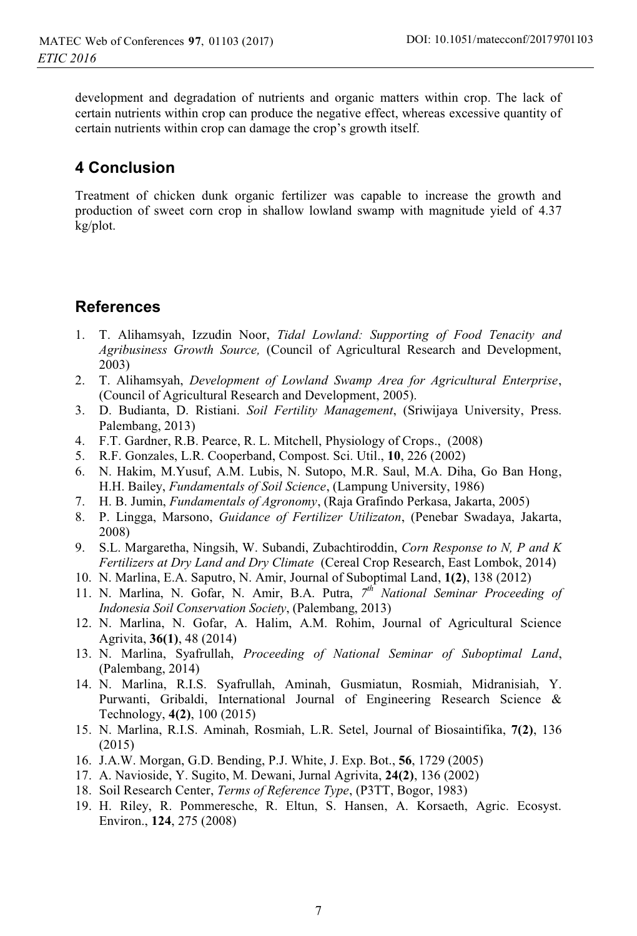development and degradation of nutrients and organic matters within crop. The lack of certain nutrients within crop can produce the negative effect, whereas excessive quantity of certain nutrients within crop can damage the crop's growth itself.

# **4 Conclusion**

Treatment of chicken dunk organic fertilizer was capable to increase the growth and production of sweet corn crop in shallow lowland swamp with magnitude yield of 4.37 kg/plot.

# **References**

- 1. T. Alihamsyah, Izzudin Noor, *Tidal Lowland: Supporting of Food Tenacity and Agribusiness Growth Source,* (Council of Agricultural Research and Development, 2003)
- 2. T. Alihamsyah, *Development of Lowland Swamp Area for Agricultural Enterprise*, (Council of Agricultural Research and Development, 2005).
- 3. D. Budianta, D. Ristiani. *Soil Fertility Management*, (Sriwijaya University, Press. Palembang, 2013)
- 4. F.T. Gardner, R.B. Pearce, R. L. Mitchell, Physiology of Crops., (2008)
- 5. R.F. Gonzales, L.R. Cooperband, Compost. Sci. Util., **10**, 226 (2002)
- 6. N. Hakim, M.Yusuf, A.M. Lubis, N. Sutopo, M.R. Saul, M.A. Diha, Go Ban Hong, H.H. Bailey, *Fundamentals of Soil Science*, (Lampung University, 1986)
- 7. H. B. Jumin, *Fundamentals of Agronomy*, (Raja Grafindo Perkasa, Jakarta, 2005)
- 8. P. Lingga, Marsono, *Guidance of Fertilizer Utilizaton*, (Penebar Swadaya, Jakarta, 2008)
- 9. S.L. Margaretha, Ningsih, W. Subandi, Zubachtiroddin, *Corn Response to N, P and K Fertilizers at Dry Land and Dry Climate* (Cereal Crop Research, East Lombok, 2014)
- 10. N. Marlina, E.A. Saputro, N. Amir, Journal of Suboptimal Land, **1(2)**, 138 (2012)
- 11. N. Marlina, N. Gofar, N. Amir, B.A. Putra, *7th National Seminar Proceeding of Indonesia Soil Conservation Society*, (Palembang, 2013)
- 12. N. Marlina, N. Gofar, A. Halim, A.M. Rohim, Journal of Agricultural Science Agrivita, **36(1)**, 48 (2014)
- 13. N. Marlina, Syafrullah, *Proceeding of National Seminar of Suboptimal Land*, (Palembang, 2014)
- 14. N. Marlina, R.I.S. Syafrullah, Aminah, Gusmiatun, Rosmiah, Midranisiah, Y. Purwanti, Gribaldi, International Journal of Engineering Research Science & Technology, **4(2)**, 100 (2015)
- 15. N. Marlina, R.I.S. Aminah, Rosmiah, L.R. Setel, Journal of Biosaintifika, **7(2)**, 136 (2015)
- 16. J.A.W. Morgan, G.D. Bending, P.J. White, J. Exp. Bot., **56**, 1729 (2005)
- 17. A. Navioside, Y. Sugito, M. Dewani, Jurnal Agrivita, **24(2)**, 136 (2002)
- 18. Soil Research Center, *Terms of Reference Type*, (P3TT, Bogor, 1983)
- 19. H. Riley, R. Pommeresche, R. Eltun, S. Hansen, A. Korsaeth, Agric. Ecosyst. Environ., **124**, 275 (2008)